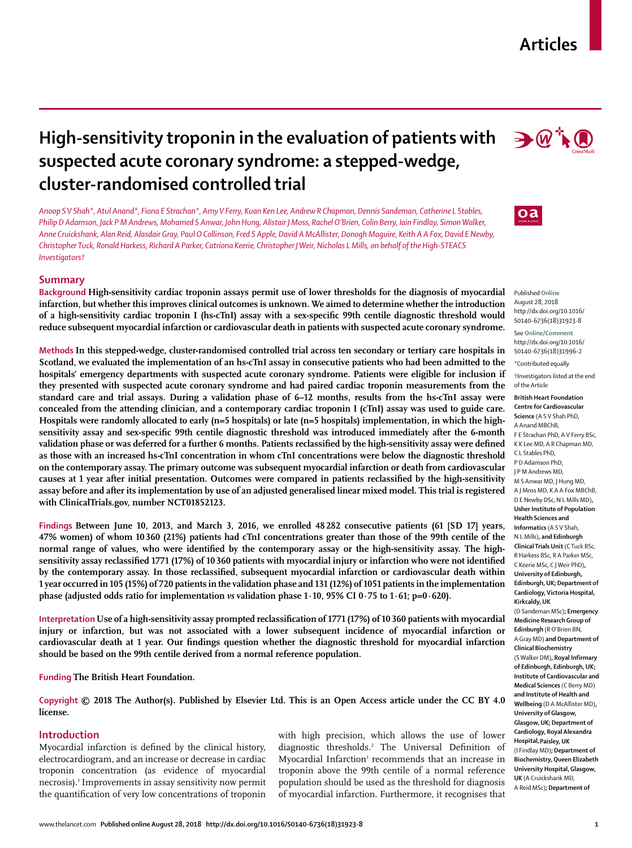## **Articles**

# **High-sensitivity troponin in the evaluation of patients with suspected acute coronary syndrome: a stepped-wedge, cluster-randomised controlled trial**

*Anoop S V Shah\*, Atul Anand\*, Fiona E Strachan\*, Amy V Ferry, Kuan Ken Lee, Andrew R Chapman, Dennis Sandeman, Catherine L Stables, Philip D Adamson, Jack P M Andrews, Mohamed S Anwar, John Hung, Alistair J Moss, Rachel O'Brien, Colin Berry, Iain Findlay, Simon Walker, Anne Cruickshank, Alan Reid, Alasdair Gray, Paul O Collinson, Fred S Apple, David A McAllister, Donogh Maguire, Keith A A Fox, David E Newby, Christopher Tuck, Ronald Harkess, Richard A Parker, Catriona Keerie, Christopher J Weir, Nicholas L Mills, on behalf of the High-STEACS Investigators†*

## **Summary**

**Background High-sensitivity cardiac troponin assays permit use of lower thresholds for the diagnosis of myocardial infarction, but whether this improves clinical outcomes is unknown. We aimed to determine whether the introduction of a high-sensitivity cardiac troponin I (hs-cTnI) assay with a sex-specific 99th centile diagnostic threshold would reduce subsequent myocardial infarction or cardiovascular death in patients with suspected acute coronary syndrome.** 

**Methods In this stepped-wedge, cluster-randomised controlled trial across ten secondary or tertiary care hospitals in Scotland, we evaluated the implementation of an hs-cTnI assay in consecutive patients who had been admitted to the hospitals' emergency departments with suspected acute coronary syndrome. Patients were eligible for inclusion if they presented with suspected acute coronary syndrome and had paired cardiac troponin measurements from the standard care and trial assays. During a validation phase of 6–12 months, results from the hs-cTnI assay were concealed from the attending clinician, and a contemporary cardiac troponin I (cTnI) assay was used to guide care. Hospitals were randomly allocated to early (n=5 hospitals) or late (n=5 hospitals) implementation, in which the highsensitivity assay and sex-specific 99th centile diagnostic threshold was introduced immediately after the 6-month validation phase or was deferred for a further 6 months. Patients reclassified by the high-sensitivity assay were defined as those with an increased hs-cTnI concentration in whom cTnI concentrations were below the diagnostic threshold on the contemporary assay. The primary outcome was subsequent myocardial infarction or death from cardiovascular causes at 1 year after initial presentation. Outcomes were compared in patients reclassified by the high-sensitivity assay before and after its implementation by use of an adjusted generalised linear mixed model. This trial is registered with ClinicalTrials.gov, number NCT01852123.**

**Findings Between June 10, 2013, and March 3, 2016, we enrolled 48282 consecutive patients (61 [SD 17] years, 47% women) of whom 10 360 (21%) patients had cTnI concentrations greater than those of the 99th centile of the normal range of values, who were identified by the contemporary assay or the high-sensitivity assay. The highsensitivity assay reclassified 1771 (17%) of 10 360 patients with myocardial injury or infarction who were not identified by the contemporary assay. In those reclassified, subsequent myocardial infarction or cardiovascular death within 1 year occurred in 105 (15%) of 720 patients in the validation phase and 131 (12%) of 1051 patients in the implementation phase (adjusted odds ratio for implementation** *vs* **validation phase 1·10, 95% CI 0·75 to 1·61; p=0·620).**

**Interpretation Use of a high-sensitivity assay prompted reclassification of 1771 (17%) of 10 360 patients with myocardial injury or infarction, but was not associated with a lower subsequent incidence of myocardial infarction or cardiovascular death at 1 year. Our findings question whether the diagnostic threshold for myocardial infarction should be based on the 99th centile derived from a normal reference population.**

**Funding The British Heart Foundation.**

**Copyright © 2018 The Author(s). Published by Elsevier Ltd. This is an Open Access article under the CC BY 4.0 license.**

#### **Introduction**

Myocardial infarction is defined by the clinical history, electrocardiogram, and an increase or decrease in cardiac troponin concentration (as evidence of myocardial necrosis).1 Improvements in assay sensitivity now permit the quantification of very low concentrations of troponin

with high precision, which allows the use of lower diagnostic thresholds.2 The Universal Definition of Myocardial Infarction<sup>1</sup> recommends that an increase in troponin above the 99th centile of a normal reference population should be used as the threshold for diagnosis of myocardial infarction. Furthermore, it recognises that





Published **Online** August 28, 2018 http://dx.doi.org/10.1016/ S0140-6736(18)31923-8

See **Online/Comment** http://dx.doi.org/10.1016/ S0140-6736(18)31996-2

\*Contributed equally

†Investigators listed at the end of the Article **British Heart Foundation** 

**Centre for Cardiovascular Science** (A S V Shah PhD, A Anand MBChB, F E Strachan PhD, A V Ferry BSc, K K Lee MD, A R Chapman MD, C L Stables PhD, P D Adamson PhD, J P M Andrews MD, M S Anwar MD, J Hung MD, A J Moss MD, K A A Fox MBChB, D E Newby DSc, N L Mills MD)**, Usher Institute of Population Health Sciences and Informatics** (A S V Shah, N L Mills)**, and Edinburgh Clinical Trials Unit** (C Tuck BSc, R Harkess BSc, R A Parker MSc, C Keerie MSc, C J Weir PhD)**, University of Edinburgh, Edinburgh, UK; Department of Cardiology, Victoria Hospital, Kirkcaldy, UK**  (D Sandeman MSc)**; Emergency** 

**Medicine Research Group of Edinburgh** (R O'Brien BN, A Gray MD) **and Department of Clinical Biochemistry**  (S Walker DM)**, Royal Infirmary of Edinburgh, Edinburgh, UK; Institute of Cardiovascular and Medical Sciences** (C Berry MD) **and Institute of Health and Wellbeing** (D A McAllister MD)**, University of Glasgow, Glasgow, UK; Department of Cardiology, Royal Alexandra Hospital,Paisley, UK**  (I Findlay MD)**; Department of Biochemistry, Queen Elizabeth University Hospital, Glasgow, UK** (A Cruickshank MD,

A Reid MSc)**; Department of**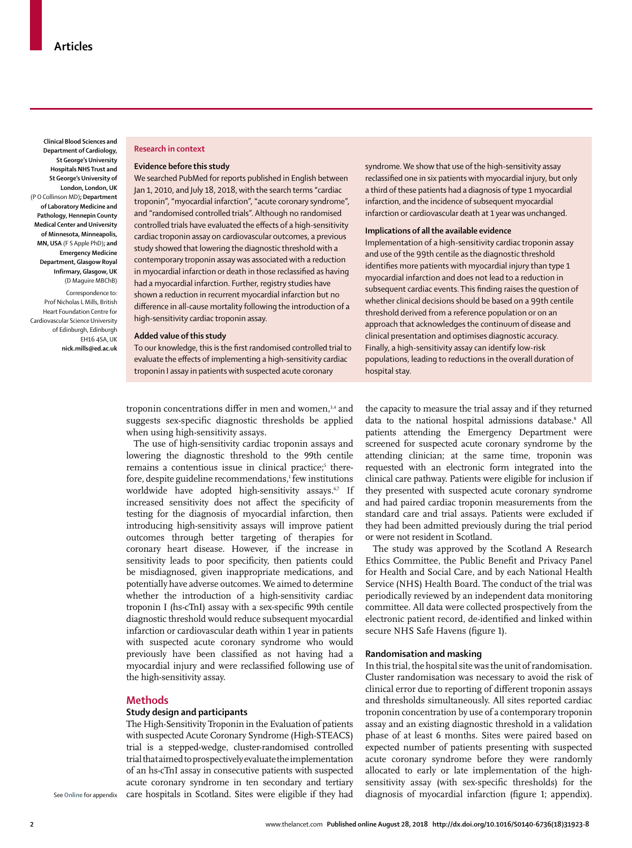**Clinical Blood Sciences and Department of Cardiology, St George's University Hospitals NHS Trust and St George's University of London, London, UK**  (P O Collinson MD)**; Department of Laboratory Medicine and Pathology, Hennepin County Medical Center and University of Minnesota, Minneapolis, MN, USA** (F S Apple PhD)**; and Emergency Medicine Department, Glasgow Royal Infirmary, Glasgow, UK**  (D Maguire MBChB)

Correspondence to: Prof Nicholas L Mills, British Heart Foundation Centre for Cardiovascular Science University of Edinburgh, Edinburgh EH16 4SA, UK **nick.mills@ed.ac.uk**

### **Research in context**

### **Evidence before this study**

We searched PubMed for reports published in English between Jan 1, 2010, and July 18, 2018, with the search terms "cardiac troponin", "myocardial infarction", "acute coronary syndrome", and "randomised controlled trials". Although no randomised controlled trials have evaluated the effects of a high-sensitivity cardiac troponin assay on cardiovascular outcomes, a previous study showed that lowering the diagnostic threshold with a contemporary troponin assay was associated with a reduction in myocardial infarction or death in those reclassified as having had a myocardial infarction. Further, registry studies have shown a reduction in recurrent myocardial infarction but no difference in all-cause mortality following the introduction of a high-sensitivity cardiac troponin assay.

### **Added value of this study**

To our knowledge, this is the first randomised controlled trial to evaluate the effects of implementing a high-sensitivity cardiac troponin I assay in patients with suspected acute coronary

syndrome. We show that use of the high-sensitivity assay reclassified one in six patients with myocardial injury, but only a third of these patients had a diagnosis of type 1 myocardial infarction, and the incidence of subsequent myocardial infarction or cardiovascular death at 1 year was unchanged.

#### **Implications of all the available evidence**

Implementation of a high-sensitivity cardiac troponin assay and use of the 99th centile as the diagnostic threshold identifies more patients with myocardial injury than type 1 myocardial infarction and does not lead to a reduction in subsequent cardiac events. This finding raises the question of whether clinical decisions should be based on a 99th centile threshold derived from a reference population or on an approach that acknowledges the continuum of disease and clinical presentation and optimises diagnostic accuracy. Finally, a high-sensitivity assay can identify low-risk populations, leading to reductions in the overall duration of hospital stay.

troponin concentrations differ in men and women,<sup>3,4</sup> and suggests sex-specific diagnostic thresholds be applied when using high-sensitivity assays.

The use of high-sensitivity cardiac troponin assays and lowering the diagnostic threshold to the 99th centile remains a contentious issue in clinical practice;<sup>5</sup> therefore, despite guideline recommendations,<sup>1</sup> few institutions worldwide have adopted high-sensitivity assays.<sup>67</sup> If increased sensitivity does not affect the specificity of testing for the diagnosis of myocardial infarction, then introducing high-sensitivity assays will improve patient outcomes through better targeting of therapies for coronary heart disease. However, if the increase in sensitivity leads to poor specificity, then patients could be misdiagnosed, given inappropriate medications, and potentially have adverse outcomes. We aimed to determine whether the introduction of a high-sensitivity cardiac troponin I (hs-cTnI) assay with a sex-specific 99th centile diagnostic threshold would reduce subsequent myocardial infarction or cardiovascular death within 1 year in patients with suspected acute coronary syndrome who would previously have been classified as not having had a myocardial injury and were reclassified following use of the high-sensitivity assay.

### **Methods**

#### **Study design and participants**

The High-Sensitivity Troponin in the Evaluation of patients with suspected Acute Coronary Syndrome (High-STEACS) trial is a stepped-wedge, cluster-randomised controlled trial that aimed to prospectively evaluate the implementation of an hs-cTnI assay in consecutive patients with suspected acute coronary syndrome in ten secondary and tertiary care hospitals in Scotland. Sites were eligible if they had the capacity to measure the trial assay and if they returned data to the national hospital admissions database.8 All patients attending the Emergency Department were screened for suspected acute coronary syndrome by the attending clinician; at the same time, troponin was requested with an electronic form integrated into the clinical care pathway. Patients were eligible for inclusion if they presented with suspected acute coronary syndrome and had paired cardiac troponin measurements from the standard care and trial assays. Patients were excluded if they had been admitted previously during the trial period or were not resident in Scotland.

The study was approved by the Scotland A Research Ethics Committee, the Public Benefit and Privacy Panel for Health and Social Care, and by each National Health Service (NHS) Health Board. The conduct of the trial was periodically reviewed by an independent data monitoring committee. All data were collected prospectively from the electronic patient record, de-identified and linked within secure NHS Safe Havens (figure 1).

#### **Randomisation and masking**

In this trial, the hospital site was the unit of randomisation. Cluster randomisation was necessary to avoid the risk of clinical error due to reporting of different troponin assays and thresholds simultaneously. All sites reported cardiac troponin concentration by use of a contemporary troponin assay and an existing diagnostic threshold in a validation phase of at least 6 months. Sites were paired based on expected number of patients presenting with suspected acute coronary syndrome before they were randomly allocated to early or late implementation of the highsensitivity assay (with sex-specific thresholds) for the diagnosis of myocardial infarction (figure 1; appendix).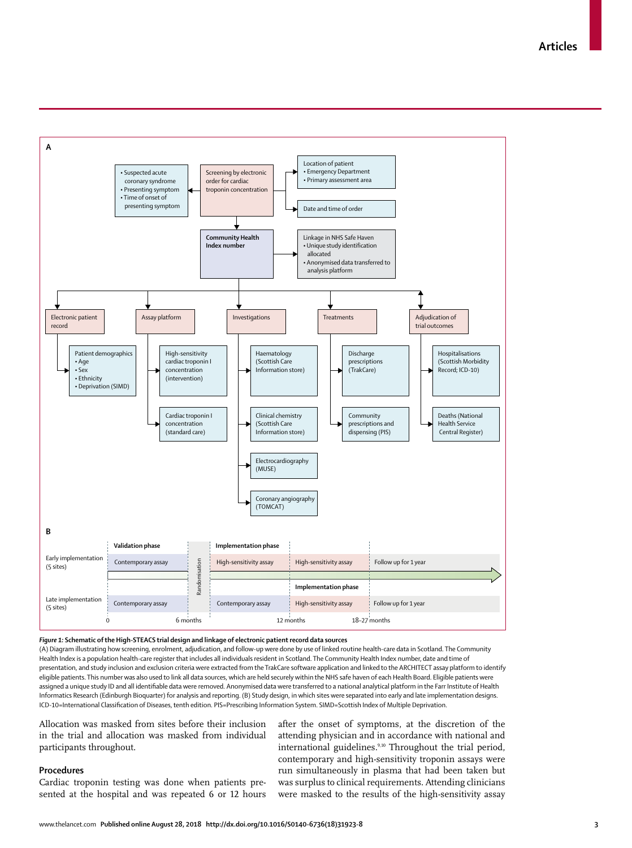**Articles**



#### *Figure 1:* **Schematic of the High-STEACS trial design and linkage of electronic patient record data sources**

(A) Diagram illustrating how screening, enrolment, adjudication, and follow-up were done by use of linked routine health-care data in Scotland. The Community Health Index is a population health-care register that includes all individuals resident in Scotland. The Community Health Index number, date and time of presentation, and study inclusion and exclusion criteria were extracted from the TrakCare software application and linked to the ARCHITECT assay platform to identify eligible patients. This number was also used to link all data sources, which are held securely within the NHS safe haven of each Health Board. Eligible patients were assigned a unique study ID and all identifiable data were removed. Anonymised data were transferred to a national analytical platform in the Farr Institute of Health Informatics Research (Edinburgh Bioquarter) for analysis and reporting. (B) Study design, in which sites were separated into early and late implementation designs. ICD-10=International Classification of Diseases, tenth edition. PIS=Prescribing Information System. SIMD=Scottish Index of Multiple Deprivation.

Allocation was masked from sites before their inclusion in the trial and allocation was masked from individual participants throughout.

## **Procedures**

Cardiac troponin testing was done when patients presented at the hospital and was repeated 6 or 12 hours after the onset of symptoms, at the discretion of the attending physician and in accordance with national and international guidelines.9,10 Throughout the trial period, contemporary and high-sensitivity troponin assays were run simultaneously in plasma that had been taken but was surplus to clinical requirements. Attending clinicians were masked to the results of the high-sensitivity assay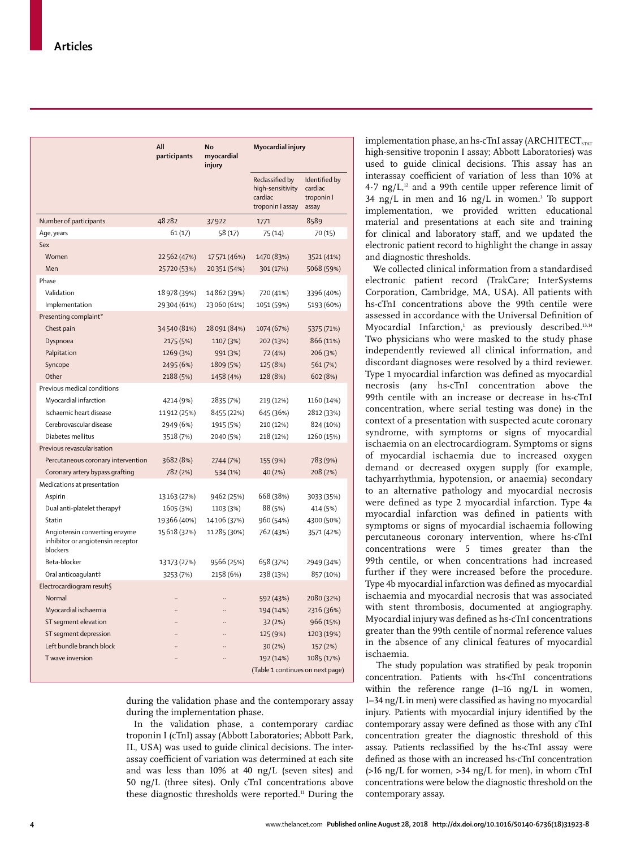|                                                                                | All<br>participants  | No<br>myocardial<br>injury | Myocardial injury                                                  |                                                 |
|--------------------------------------------------------------------------------|----------------------|----------------------------|--------------------------------------------------------------------|-------------------------------------------------|
|                                                                                |                      |                            | Reclassified by<br>high-sensitivity<br>cardiac<br>troponin I assay | Identified by<br>cardiac<br>troponin l<br>assay |
| Number of participants                                                         | 48282                | 37922                      | 1771                                                               | 8589                                            |
| Age, years                                                                     | 61(17)               | 58 (17)                    | 75 (14)                                                            | 70 (15)                                         |
| Sex                                                                            |                      |                            |                                                                    |                                                 |
| Women                                                                          | 22562 (47%)          | 17571 (46%)                | 1470 (83%)                                                         | 3521 (41%)                                      |
| Men                                                                            | 25720 (53%)          | 20351 (54%)                | 301 (17%)                                                          | 5068 (59%)                                      |
| Phase                                                                          |                      |                            |                                                                    |                                                 |
| Validation                                                                     | 18 978 (39%)         | 14862 (39%)                | 720 (41%)                                                          | 3396 (40%)                                      |
| Implementation                                                                 | 29 304 (61%)         | 23060 (61%)                | 1051 (59%)                                                         | 5193 (60%)                                      |
| Presenting complaint*                                                          |                      |                            |                                                                    |                                                 |
| Chest pain                                                                     | 34540 (81%)          | 28091 (84%)                | 1074 (67%)                                                         | 5375 (71%)                                      |
| Dyspnoea                                                                       | 2175 (5%)            | 1107 (3%)                  | 202 (13%)                                                          | 866 (11%)                                       |
| Palpitation                                                                    | 1269 (3%)            | 991 (3%)                   | 72 (4%)                                                            | 206 (3%)                                        |
| Syncope                                                                        | 2495 (6%)            | 1809 (5%)                  | 125 (8%)                                                           | 561 (7%)                                        |
| Other                                                                          | 2188 (5%)            | 1458 (4%)                  | 128 (8%)                                                           | 602 (8%)                                        |
| Previous medical conditions                                                    |                      |                            |                                                                    |                                                 |
| Myocardial infarction                                                          | 4214 (9%)            | 2835 (7%)                  | 219 (12%)                                                          | 1160 (14%)                                      |
| Ischaemic heart disease                                                        | 11 912 (25%)         | 8455 (22%)                 | 645 (36%)                                                          | 2812 (33%)                                      |
| Cerebrovascular disease                                                        | 2949 (6%)            | 1915 (5%)                  | 210 (12%)                                                          | 824 (10%)                                       |
| Diabetes mellitus                                                              | 3518 (7%)            | 2040 (5%)                  | 218 (12%)                                                          | 1260 (15%)                                      |
| Previous revascularisation                                                     |                      |                            |                                                                    |                                                 |
| Percutaneous coronary intervention                                             | 3682 (8%)            | 2744 (7%)                  | 155 (9%)                                                           | 783 (9%)                                        |
| Coronary artery bypass grafting                                                | 782 (2%)             | 534 (1%)                   | 40 (2%)                                                            | 208 (2%)                                        |
| Medications at presentation                                                    |                      |                            |                                                                    |                                                 |
| Aspirin                                                                        | 13163 (27%)          | 9462 (25%)                 | 668 (38%)                                                          | 3033 (35%)                                      |
| Dual anti-platelet therapy†                                                    | 1605 (3%)            | 1103 (3%)                  | 88 (5%)                                                            | 414 (5%)                                        |
| Statin                                                                         | 19366 (40%)          | 14 106 (37%)               | 960 (54%)                                                          | 4300 (50%)                                      |
| Angiotensin converting enzyme<br>inhibitor or angiotensin receptor<br>blockers | 15618 (32%)          | 11285 (30%)                | 762 (43%)                                                          | 3571 (42%)                                      |
| Beta-blocker                                                                   | 13173 (27%)          | 9566 (25%)                 | 658 (37%)                                                          | 2949 (34%)                                      |
| Oral anticoagulant‡                                                            | 3253 (7%)            | 2158 (6%)                  | 238 (13%)                                                          | 857 (10%)                                       |
| Electrocardiogram result§                                                      |                      |                            |                                                                    |                                                 |
| Normal                                                                         |                      |                            | 592 (43%)                                                          | 2080 (32%)                                      |
| Myocardial ischaemia                                                           |                      |                            | 194 (14%)                                                          | 2316 (36%)                                      |
| ST segment elevation                                                           |                      |                            | 32(2%)                                                             | 966 (15%)                                       |
| ST segment depression                                                          |                      |                            | 125 (9%)                                                           | 1203 (19%)                                      |
| Left bundle branch block                                                       | $\ddot{\phantom{a}}$ |                            | 30 (2%)                                                            | 157 (2%)                                        |
| T wave inversion                                                               |                      |                            | 192 (14%)                                                          | 1085 (17%)                                      |
|                                                                                |                      |                            | (Table 1 continues on next page)                                   |                                                 |

during the validation phase and the contemporary assay during the implementation phase.

In the validation phase, a contemporary cardiac troponin I (cTnI) assay (Abbott Laboratories; Abbott Park, IL, USA) was used to guide clinical decisions. The interassay coefficient of variation was determined at each site and was less than 10% at 40 ng/L (seven sites) and 50 ng/L (three sites). Only cTnI concentrations above these diagnostic thresholds were reported.11 During the implementation phase, an hs-cTnI assay (ARCHITECT $_{\text{start}}$ high-sensitive troponin I assay; Abbott Laboratories) was used to guide clinical decisions. This assay has an interassay coefficient of variation of less than 10% at 4.7 ng/ $L<sup>12</sup>$  and a 99th centile upper reference limit of  $34 \text{ ng/L}$  in men and  $16 \text{ ng/L}$  in women.<sup>3</sup> To support implementation, we provided written educational material and presentations at each site and training for clinical and laboratory staff, and we updated the electronic patient record to highlight the change in assay and diagnostic thresholds.

We collected clinical information from a standardised electronic patient record (TrakCare; InterSystems Corporation, Cambridge, MA, USA). All patients with hs-cTnI concentrations above the 99th centile were assessed in accordance with the Universal Definition of Myocardial Infarction,<sup>1</sup> as previously described.<sup>13,14</sup> Two physicians who were masked to the study phase independently reviewed all clinical information, and discordant diagnoses were resolved by a third reviewer. Type 1 myocardial infarction was defined as myocardial necrosis (any hs-cTnI concentration above the 99th centile with an increase or decrease in hs-cTnI concentration, where serial testing was done) in the context of a presentation with suspected acute coronary syndrome, with symptoms or signs of myocardial ischaemia on an electrocardiogram. Symptoms or signs of myocardial ischaemia due to increased oxygen demand or decreased oxygen supply (for example, tachyarrhythmia, hypotension, or anaemia) secondary to an alternative pathology and myocardial necrosis were defined as type 2 myocardial infarction. Type 4a myocardial infarction was defined in patients with symptoms or signs of myocardial ischaemia following percutaneous coronary intervention, where hs-cTnI concentrations were 5 times greater than the 99th centile, or when concentrations had increased further if they were increased before the procedure. Type 4b myocardial infarction was defined as myocardial ischaemia and myocardial necrosis that was associated with stent thrombosis, documented at angiography. Myocardial injury was defined as hs-cTnI concentrations greater than the 99th centile of normal reference values in the absence of any clinical features of myocardial ischaemia.

The study population was stratified by peak troponin concentration. Patients with hs-cTnI concentrations within the reference range (1–16 ng/L in women, 1–34 ng/L in men) were classified as having no myocardial injury. Patients with myocardial injury identified by the contemporary assay were defined as those with any cTnI concentration greater the diagnostic threshold of this assay. Patients reclassified by the hs-cTnI assay were defined as those with an increased hs-cTnI concentration (>16 ng/L for women, >34 ng/L for men), in whom cTnI concentrations were below the diagnostic threshold on the contemporary assay.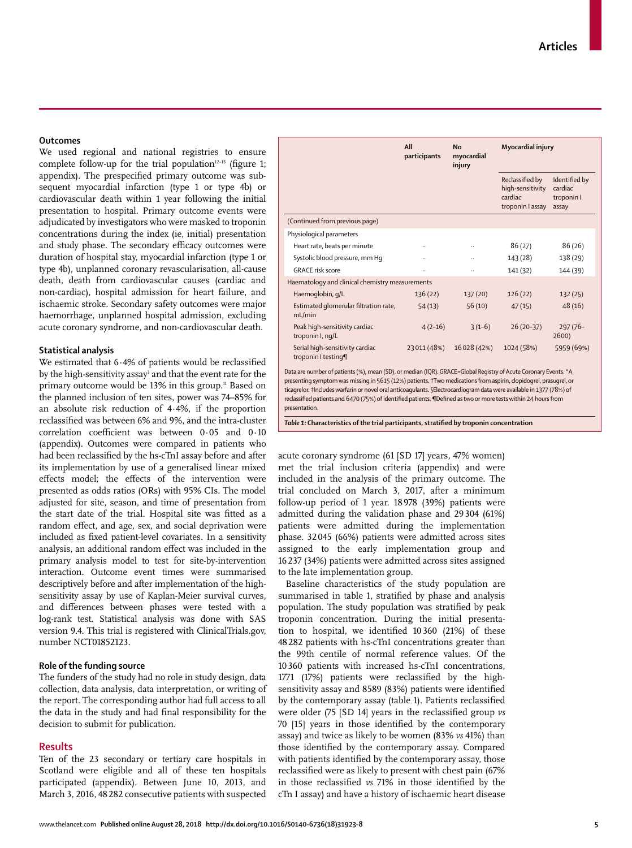## **Outcomes**

We used regional and national registries to ensure complete follow-up for the trial population<sup>12–15</sup> (figure 1; appendix). The prespecified primary outcome was subsequent myocardial infarction (type 1 or type 4b) or cardiovascular death within 1 year following the initial presentation to hospital. Primary outcome events were adjudicated by investigators who were masked to troponin concentrations during the index (ie, initial) presentation and study phase. The secondary efficacy outcomes were duration of hospital stay, myocardial infarction (type 1 or type 4b), unplanned coronary revascularisation, all-cause death, death from cardiovascular causes (cardiac and non-cardiac), hospital admission for heart failure, and ischaemic stroke. Secondary safety outcomes were major haemorrhage, unplanned hospital admission, excluding acute coronary syndrome, and non-cardiovascular death.

## **Statistical analysis**

We estimated that 6·4% of patients would be reclassified by the high-sensitivity assay<sup>3</sup> and that the event rate for the primary outcome would be 13% in this group.<sup>11</sup> Based on the planned inclusion of ten sites, power was 74–85% for an absolute risk reduction of 4·4%, if the proportion reclassified was between 6% and 9%, and the intra-cluster correlation coefficient was between 0·05 and 0·10 (appendix). Outcomes were compared in patients who had been reclassified by the hs-cTnI assay before and after its implementation by use of a generalised linear mixed effects model; the effects of the intervention were presented as odds ratios (ORs) with 95% CIs. The model adjusted for site, season, and time of presentation from the start date of the trial. Hospital site was fitted as a random effect, and age, sex, and social deprivation were included as fixed patient-level covariates. In a sensitivity analysis, an additional random effect was included in the primary analysis model to test for site-by-intervention interaction. Outcome event times were summarised descriptively before and after implementation of the highsensitivity assay by use of Kaplan-Meier survival curves, and differences between phases were tested with a log-rank test. Statistical analysis was done with SAS version 9.4. This trial is registered with ClinicalTrials.gov, number NCT01852123.

## **Role of the funding source**

The funders of the study had no role in study design, data collection, data analysis, data interpretation, or writing of the report. The corresponding author had full access to all the data in the study and had final responsibility for the decision to submit for publication.

## **Results**

Ten of the 23 secondary or tertiary care hospitals in Scotland were eligible and all of these ten hospitals participated (appendix). Between June 10, 2013, and March 3, 2016, 48 282 consecutive patients with suspected

|                                                                                                                                                                                                                                                                                                                                                                                                                                                                                | All<br>participants | <b>No</b><br>myocardial<br>injury | Myocardial injury                                                  |                                                 |  |
|--------------------------------------------------------------------------------------------------------------------------------------------------------------------------------------------------------------------------------------------------------------------------------------------------------------------------------------------------------------------------------------------------------------------------------------------------------------------------------|---------------------|-----------------------------------|--------------------------------------------------------------------|-------------------------------------------------|--|
|                                                                                                                                                                                                                                                                                                                                                                                                                                                                                |                     |                                   | Reclassified by<br>high-sensitivity<br>cardiac<br>troponin I assay | Identified by<br>cardiac<br>troponin I<br>assay |  |
| (Continued from previous page)                                                                                                                                                                                                                                                                                                                                                                                                                                                 |                     |                                   |                                                                    |                                                 |  |
| Physiological parameters                                                                                                                                                                                                                                                                                                                                                                                                                                                       |                     |                                   |                                                                    |                                                 |  |
| Heart rate, beats per minute                                                                                                                                                                                                                                                                                                                                                                                                                                                   |                     |                                   | 86(27)                                                             | 86(26)                                          |  |
| Systolic blood pressure, mm Hq                                                                                                                                                                                                                                                                                                                                                                                                                                                 |                     |                                   | 143 (28)                                                           | 138 (29)                                        |  |
| <b>GRACE</b> risk score                                                                                                                                                                                                                                                                                                                                                                                                                                                        |                     |                                   | 141 (32)                                                           | 144 (39)                                        |  |
| Haematology and clinical chemistry measurements                                                                                                                                                                                                                                                                                                                                                                                                                                |                     |                                   |                                                                    |                                                 |  |
| Haemoglobin, g/L                                                                                                                                                                                                                                                                                                                                                                                                                                                               | 136 (22)            | 137(20)                           | 126(22)                                                            | 132(25)                                         |  |
| Estimated glomerular filtration rate,<br>mL/min                                                                                                                                                                                                                                                                                                                                                                                                                                | 54(13)              | 56(10)                            | 47(15)                                                             | 48(16)                                          |  |
| Peak high-sensitivity cardiac<br>troponin I, ng/L                                                                                                                                                                                                                                                                                                                                                                                                                              | $4(2-16)$           | $3(1-6)$                          | $26(20-37)$                                                        | $297(76 -$<br>2600)                             |  |
| Serial high-sensitivity cardiac<br>troponin I testing¶                                                                                                                                                                                                                                                                                                                                                                                                                         | 23011 (48%)         | 16 028 (42%)                      | 1024 (58%)                                                         | 5959 (69%)                                      |  |
| Data are number of patients (%), mean (SD), or median (IQR). GRACE=Global Registry of Acute Coronary Events. *A<br>presenting symptom was missing in 5615 (12%) patients. †Two medications from aspirin, clopidogrel, prasugrel, or<br>ticagrelor. #Includes warfarin or novel oral anticoagulants. §Electrocardiogram data were available in 1377 (78%) of<br>reclassified patients and 6470 (75%) of identified patients. ¶Defined as two or more tests within 24 hours from |                     |                                   |                                                                    |                                                 |  |

*Table 1:* **Characteristics of the trial participants, stratified by troponin concentration** 

presentation.

acute coronary syndrome (61 [SD 17] years, 47% women) met the trial inclusion criteria (appendix) and were included in the analysis of the primary outcome. The trial concluded on March 3, 2017, after a minimum follow-up period of 1 year. 18978 (39%) patients were admitted during the validation phase and 29304 (61%) patients were admitted during the implementation phase. 32045 (66%) patients were admitted across sites assigned to the early implementation group and 16237 (34%) patients were admitted across sites assigned to the late implementation group.

Baseline characteristics of the study population are summarised in table 1, stratified by phase and analysis population. The study population was stratified by peak troponin concentration. During the initial presentation to hospital, we identified 10360 (21%) of these 48282 patients with hs-cTnI concentrations greater than the 99th centile of normal reference values. Of the 10 360 patients with increased hs-cTnI concentrations, 1771 (17%) patients were reclassified by the highsensitivity assay and 8589 (83%) patients were identified by the contemporary assay (table 1). Patients reclassified were older (75 [SD 14] years in the reclassified group *vs* 70 [15] years in those identified by the contemporary assay) and twice as likely to be women (83% *vs* 41%) than those identified by the contemporary assay. Compared with patients identified by the contemporary assay, those reclassified were as likely to present with chest pain (67% in those reclassified *vs* 71% in those identified by the cTn I assay) and have a history of ischaemic heart disease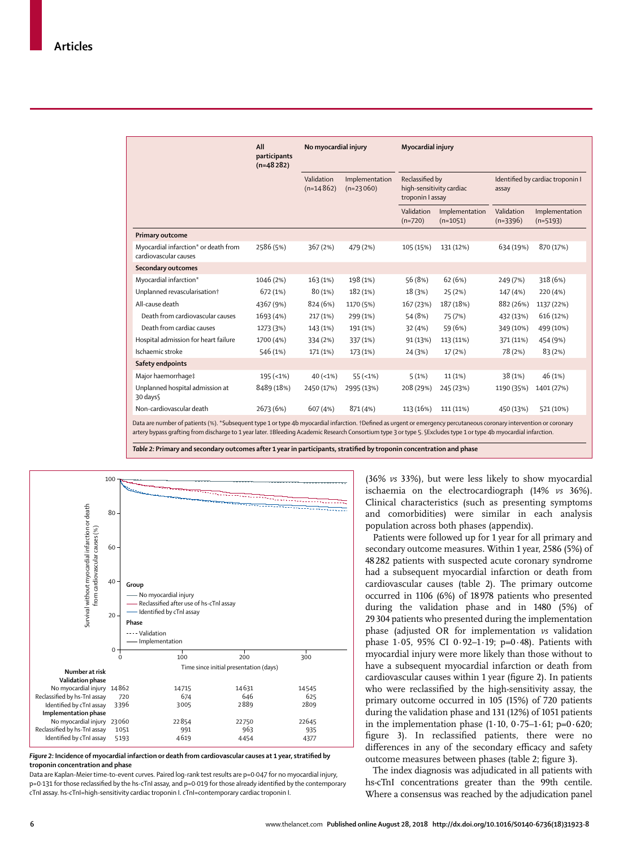|                                                               | All<br>participants<br>$(n=48282)$ | No myocardial injury      |                               | Myocardial injury                                               |                              |                                           |                              |  |
|---------------------------------------------------------------|------------------------------------|---------------------------|-------------------------------|-----------------------------------------------------------------|------------------------------|-------------------------------------------|------------------------------|--|
|                                                               |                                    | Validation<br>$(n=14862)$ | Implementation<br>$(n=23060)$ | Reclassified by<br>high-sensitivity cardiac<br>troponin I assay |                              | Identified by cardiac troponin I<br>assay |                              |  |
|                                                               |                                    |                           |                               | Validation<br>$(n=720)$                                         | Implementation<br>$(n=1051)$ | Validation<br>$(n=3396)$                  | Implementation<br>$(n=5193)$ |  |
| <b>Primary outcome</b>                                        |                                    |                           |                               |                                                                 |                              |                                           |                              |  |
| Myocardial infarction* or death from<br>cardiovascular causes | 2586 (5%)                          | 367 (2%)                  | 479 (2%)                      | 105 (15%)                                                       | 131 (12%)                    | 634 (19%)                                 | 870 (17%)                    |  |
| <b>Secondary outcomes</b>                                     |                                    |                           |                               |                                                                 |                              |                                           |                              |  |
| Myocardial infarction*                                        | 1046 (2%)                          | 163(1%)                   | 198 (1%)                      | 56 (8%)                                                         | 62 (6%)                      | 249 (7%)                                  | 318 (6%)                     |  |
| Unplanned revascularisation <sup>+</sup>                      | 672 (1%)                           | 80(1%)                    | 182 (1%)                      | 18 (3%)                                                         | 25(2%)                       | 147 (4%)                                  | 220 (4%)                     |  |
| All-cause death                                               | 4367 (9%)                          | 824 (6%)                  | 1170 (5%)                     | 167 (23%)                                                       | 187 (18%)                    | 882 (26%)                                 | 1137 (22%)                   |  |
| Death from cardiovascular causes                              | 1693 (4%)                          | 217 (1%)                  | 299 (1%)                      | 54 (8%)                                                         | 75 (7%)                      | 432 (13%)                                 | 616 (12%)                    |  |
| Death from cardiac causes                                     | 1273 (3%)                          | 143 (1%)                  | 191 (1%)                      | 32 (4%)                                                         | 59 (6%)                      | 349 (10%)                                 | 499 (10%)                    |  |
| Hospital admission for heart failure                          | 1700 (4%)                          | 334 (2%)                  | 337 (1%)                      | 91 (13%)                                                        | 113 (11%)                    | 371 (11%)                                 | 454 (9%)                     |  |
| Ischaemic stroke                                              | 546 (1%)                           | 171 (1%)                  | 173 (1%)                      | 24 (3%)                                                         | 17(2%)                       | 78 (2%)                                   | 83(2%)                       |  |
| Safety endpoints                                              |                                    |                           |                               |                                                                 |                              |                                           |                              |  |
| Major haemorrhage‡                                            | $195 (-1%)$                        | $40 (-1%)$                | $55 (< 1\%)$                  | 5(1%)                                                           | 11(1%)                       | 38 (1%)                                   | 46 (1%)                      |  |
| Unplanned hospital admission at<br>30 days§                   | 8489 (18%)                         | 2450 (17%)                | 2995 (13%)                    | 208 (29%)                                                       | 245 (23%)                    | 1190 (35%)                                | 1401 (27%)                   |  |
| Non-cardiovascular death                                      | 2673 (6%)                          | 607 (4%)                  | 871 (4%)                      | 113 (16%)                                                       | 111 (11%)                    | 450 (13%)                                 | 521 (10%)                    |  |

artery bypass grafting from discharge to 1 year later. ‡Bleeding Academic Research Consortium type 3 or type 5. §Excludes type 1 or type 4b myocardial infarction.

*Table 2:* **Primary and secondary outcomes after 1 year in participants, stratified by troponin concentration and phase**



*Figure 2:* **Incidence of myocardial infarction or death from cardiovascular causes at 1 year, stratified by troponin concentration and phase**

Data are Kaplan-Meier time-to-event curves. Paired log-rank test results are p=0·047 for no myocardial injury, p=0·131 for those reclassified by the hs-cTnI assay, and p=0·019 for those already identified by the contemporary cTnI assay. hs-cTnI=high-sensitivity cardiac troponin I. cTnI=contemporary cardiac troponin I.

(36% *vs* 33%), but were less likely to show myocardial ischaemia on the electrocardiograph (14% *vs* 36%). Clinical characteristics (such as presenting symptoms and comorbidities) were similar in each analysis population across both phases (appendix).

Patients were followed up for 1 year for all primary and secondary outcome measures. Within 1 year, 2586 (5%) of 48282 patients with suspected acute coronary syndrome had a subsequent myocardial infarction or death from cardiovascular causes (table 2). The primary outcome occurred in 1106 (6%) of 18978 patients who presented during the validation phase and in 1480 (5%) of 29304 patients who presented during the implementation phase (adjusted OR for implementation *vs* validation phase 1·05, 95% CI 0·92–1·19; p=0·48). Patients with myocardial injury were more likely than those without to have a subsequent myocardial infarction or death from cardiovascular causes within 1 year (figure 2). In patients who were reclassified by the high-sensitivity assay, the primary outcome occurred in 105 (15%) of 720 patients during the validation phase and 131 (12%) of 1051 patients in the implementation phase (1**·**10, 0**·**75–1**·**61; p=0**·**620; figure 3). In reclassified patients, there were no differences in any of the secondary efficacy and safety outcome measures between phases (table 2; figure 3).

The index diagnosis was adjudicated in all patients with hs-cTnI concentrations greater than the 99th centile. Where a consensus was reached by the adjudication panel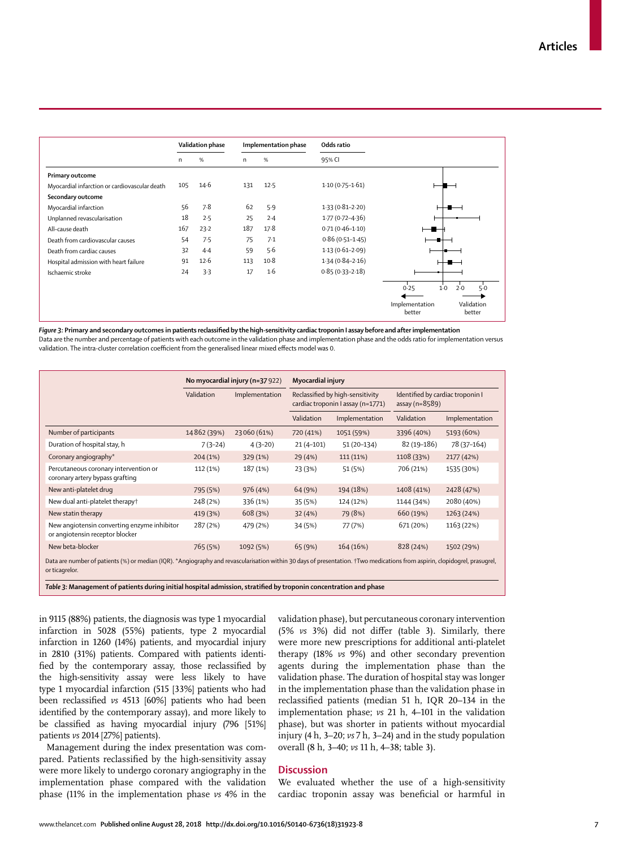|                                               | Validation phase |        | Implementation phase |        | Odds ratio          |                          |                      |
|-----------------------------------------------|------------------|--------|----------------------|--------|---------------------|--------------------------|----------------------|
|                                               | n                | %      | n                    | %      | 95% CI              |                          |                      |
| Primary outcome                               |                  |        |                      |        |                     |                          |                      |
| Myocardial infarction or cardiovascular death | 105              | $14-6$ | 131                  | 12.5   | $1.10(0.75 - 1.61)$ |                          |                      |
| Secondary outcome                             |                  |        |                      |        |                     |                          |                      |
| Myocardial infarction                         | 56               | 7.8    | 62                   | 5.9    | $1.33(0.81 - 2.20)$ |                          |                      |
| Unplanned revascularisation                   | 18               | 2.5    | 25                   | 2.4    | $1.77(0.72 - 4.36)$ |                          |                      |
| All-cause death                               | 167              | 23.2   | 187                  | $17-8$ | $0.71(0.46 - 1.10)$ |                          |                      |
| Death from cardiovascular causes              | 54               | 7.5    | 75                   | 7.1    | $0.86(0.51 - 1.45)$ |                          |                      |
| Death from cardiac causes                     | 32               | $4-4$  | 59                   | 5.6    | $1.13(0.61 - 2.09)$ |                          |                      |
| Hospital admission with heart failure         | 91               | 12.6   | 113                  | $10-8$ | $1.34(0.84 - 2.16)$ |                          |                      |
| Ischaemic stroke                              | 24               | 3.3    | 17                   | 1·6    | $0.85(0.33 - 2.18)$ |                          |                      |
|                                               |                  |        |                      |        |                     | 0.25<br>$1-0$            | 2.0<br>50            |
|                                               |                  |        |                      |        |                     | Implementation<br>better | Validation<br>better |

*Figure 3:* **Primary and secondary outcomes in patients reclassified by the high-sensitivity cardiac troponin I assay before and after implementation** Data are the number and percentage of patients with each outcome in the validation phase and implementation phase and the odds ratio for implementation versus validation. The intra-cluster correlation coefficient from the generalised linear mixed effects model was 0.

|                                                                                                                                                                                              |             | No myocardial injury (n=37922) | Myocardial injury |                                                                       |                                                        |                |  |
|----------------------------------------------------------------------------------------------------------------------------------------------------------------------------------------------|-------------|--------------------------------|-------------------|-----------------------------------------------------------------------|--------------------------------------------------------|----------------|--|
|                                                                                                                                                                                              | Validation  | Implementation                 |                   | Reclassified by high-sensitivity<br>cardiac troponin I assay (n=1771) | Identified by cardiac troponin I<br>assay ( $n=8589$ ) |                |  |
|                                                                                                                                                                                              |             |                                |                   | Implementation                                                        | Validation                                             | Implementation |  |
| Number of participants                                                                                                                                                                       | 14862 (39%) | 23060 (61%)                    | 720 (41%)         | 1051 (59%)                                                            | 3396 (40%)                                             | 5193 (60%)     |  |
| Duration of hospital stay, h                                                                                                                                                                 | $7(3-24)$   | $4(3-20)$                      | $21(4-101)$       | 51 (20-134)                                                           | 82 (19-186)                                            | 78 (37-164)    |  |
| Coronary angiography*                                                                                                                                                                        | 204(1%)     | 329 (1%)                       | 29 (4%)           | 111 (11%)                                                             | 1108 (33%)                                             | 2177 (42%)     |  |
| Percutaneous coronary intervention or<br>coronary artery bypass grafting                                                                                                                     | 112 (1%)    | 187 (1%)                       | 23 (3%)           | 51 (5%)                                                               | 706 (21%)                                              | 1535 (30%)     |  |
| New anti-platelet drug                                                                                                                                                                       | 795 (5%)    | 976 (4%)                       | 64 (9%)           | 194 (18%)                                                             | 1408 (41%)                                             | 2428 (47%)     |  |
| New dual anti-platelet therapy†                                                                                                                                                              | 248 (2%)    | 336 (1%)                       | 35 (5%)           | 124 (12%)                                                             | 1144 (34%)                                             | 2080 (40%)     |  |
| New statin therapy                                                                                                                                                                           | 419 (3%)    | 608 (3%)                       | 32(4%)            | 79 (8%)                                                               | 660 (19%)                                              | 1263 (24%)     |  |
| New angiotensin converting enzyme inhibitor<br>or angiotensin receptor blocker                                                                                                               | 287 (2%)    | 479 (2%)                       | 34 (5%)           | 77 (7%)                                                               | 671 (20%)                                              | 1163 (22%)     |  |
| New beta-blocker                                                                                                                                                                             | 765 (5%)    | 1092 (5%)                      | 65 (9%)           | 164 (16%)                                                             | 828 (24%)                                              | 1502 (29%)     |  |
| Data are number of patients (%) or median (IQR). *Angiography and revascularisation within 30 days of presentation. †Two medications from aspirin, clopidogrel, prasugrel,<br>or ticagrelor. |             |                                |                   |                                                                       |                                                        |                |  |

in 9115 (88%) patients, the diagnosis was type 1 myocardial infarction in 5028 (55%) patients, type 2 myocardial infarction in 1260 (14%) patients, and myocardial injury in 2810 (31%) patients. Compared with patients identified by the contemporary assay, those reclassified by the high-sensitivity assay were less likely to have type 1 myocardial infarction (515 [33%] patients who had been reclassified *vs* 4513 [60%] patients who had been identified by the contemporary assay), and more likely to be classified as having myocardial injury (796 [51%] patients *vs* 2014 [27%] patients).

Management during the index presentation was compared. Patients reclassified by the high-sensitivity assay were more likely to undergo coronary angiography in the implementation phase compared with the validation phase (11% in the implementation phase *vs* 4% in the validation phase), but percutaneous coronary intervention (5% *vs* 3%) did not differ (table 3). Similarly, there were more new prescriptions for additional anti-platelet therapy (18% *vs* 9%) and other secondary prevention agents during the implementation phase than the validation phase. The duration of hospital stay was longer in the implementation phase than the validation phase in reclassified patients (median 51 h, IQR 20–134 in the implementation phase; *vs* 21 h, 4–101 in the validation phase), but was shorter in patients without myocardial injury (4 h, 3–20; *vs* 7 h, 3–24) and in the study population overall (8 h, 3–40; *vs* 11 h, 4–38; table 3).

## **Discussion**

We evaluated whether the use of a high-sensitivity cardiac troponin assay was beneficial or harmful in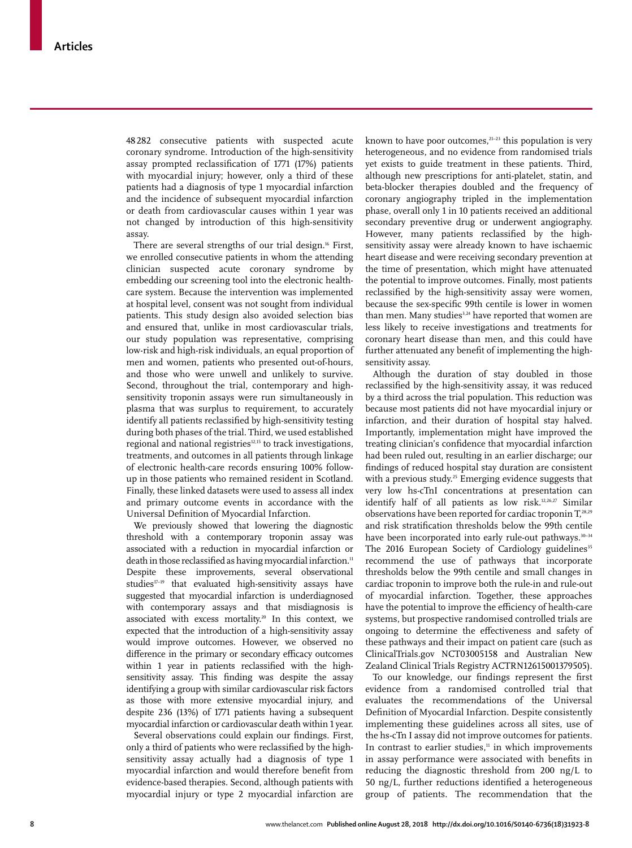48 282 consecutive patients with suspected acute coronary syndrome. Introduction of the high-sensitivity assay prompted reclassification of 1771 (17%) patients with myocardial injury; however, only a third of these patients had a diagnosis of type 1 myocardial infarction and the incidence of subsequent myocardial infarction or death from cardiovascular causes within 1 year was not changed by introduction of this high-sensitivity assay.

There are several strengths of our trial design.<sup>16</sup> First, we enrolled consecutive patients in whom the attending clinician suspected acute coronary syndrome by embedding our screening tool into the electronic healthcare system. Because the intervention was implemented at hospital level, consent was not sought from individual patients. This study design also avoided selection bias and ensured that, unlike in most cardiovascular trials, our study population was representative, comprising low-risk and high-risk individuals, an equal proportion of men and women, patients who presented out-of-hours, and those who were unwell and unlikely to survive. Second, throughout the trial, contemporary and highsensitivity troponin assays were run simultaneously in plasma that was surplus to requirement, to accurately identify all patients reclassified by high-sensitivity testing during both phases of the trial. Third, we used established regional and national registries<sup>12,15</sup> to track investigations, treatments, and outcomes in all patients through linkage of electronic health-care records ensuring 100% followup in those patients who remained resident in Scotland. Finally, these linked datasets were used to assess all index and primary outcome events in accordance with the Universal Definition of Myocardial Infarction.

We previously showed that lowering the diagnostic threshold with a contemporary troponin assay was associated with a reduction in myocardial infarction or death in those reclassified as having myocardial infarction.<sup>11</sup> Despite these improvements, several observational studies<sup>17-19</sup> that evaluated high-sensitivity assays have suggested that myocardial infarction is underdiagnosed with contemporary assays and that misdiagnosis is associated with excess mortality. 20 In this context, we expected that the introduction of a high-sensitivity assay would improve outcomes. However, we observed no difference in the primary or secondary efficacy outcomes within 1 year in patients reclassified with the highsensitivity assay. This finding was despite the assay identifying a group with similar cardiovascular risk factors as those with more extensive myocardial injury, and despite 236 (13%) of 1771 patients having a subsequent myocardial infarction or cardiovascular death within 1 year.

Several observations could explain our findings. First, only a third of patients who were reclassified by the highsensitivity assay actually had a diagnosis of type 1 myocardial infarction and would therefore benefit from evidence-based therapies. Second, although patients with myocardial injury or type 2 myocardial infarction are known to have poor outcomes, $21-23$  this population is very heterogeneous, and no evidence from randomised trials yet exists to guide treatment in these patients. Third, although new prescriptions for anti-platelet, statin, and beta-blocker therapies doubled and the frequency of coronary angiography tripled in the implementation phase, overall only 1 in 10 patients received an additional secondary preventive drug or underwent angiography. However, many patients reclassified by the highsensitivity assay were already known to have ischaemic heart disease and were receiving secondary prevention at the time of presentation, which might have attenuated the potential to improve outcomes. Finally, most patients reclassified by the high-sensitivity assay were women, because the sex-specific 99th centile is lower in women than men. Many studies<sup>3,24</sup> have reported that women are less likely to receive investigations and treatments for coronary heart disease than men, and this could have further attenuated any benefit of implementing the highsensitivity assay.

Although the duration of stay doubled in those reclassified by the high-sensitivity assay, it was reduced by a third across the trial population. This reduction was because most patients did not have myocardial injury or infarction, and their duration of hospital stay halved. Importantly, implementation might have improved the treating clinician's confidence that myocardial infarction had been ruled out, resulting in an earlier discharge; our findings of reduced hospital stay duration are consistent with a previous study.<sup>25</sup> Emerging evidence suggests that very low hs-cTnI concentrations at presentation can identify half of all patients as low risk.<sup>12,26,27</sup> Similar observations have been reported for cardiac troponin T,<sup>28,29</sup> and risk stratification thresholds below the 99th centile have been incorporated into early rule-out pathways.<sup>30-34</sup> The 2016 European Society of Cardiology guidelines<sup>35</sup> recommend the use of pathways that incorporate thresholds below the 99th centile and small changes in cardiac troponin to improve both the rule-in and rule-out of myocardial infarction. Together, these approaches have the potential to improve the efficiency of health-care systems, but prospective randomised controlled trials are ongoing to determine the effectiveness and safety of these pathways and their impact on patient care (such as ClinicalTrials.gov NCT03005158 and Australian New Zealand Clinical Trials Registry ACTRN12615001379505).

To our knowledge, our findings represent the first evidence from a randomised controlled trial that evaluates the recommendations of the Universal Definition of Myocardial Infarction. Despite consistently implementing these guidelines across all sites, use of the hs-cTn I assay did not improve outcomes for patients. In contrast to earlier studies, $<sup>11</sup>$  in which improvements</sup> in assay performance were associated with benefits in reducing the diagnostic threshold from 200 ng/L to 50 ng/L, further reductions identified a heterogeneous group of patients. The recommendation that the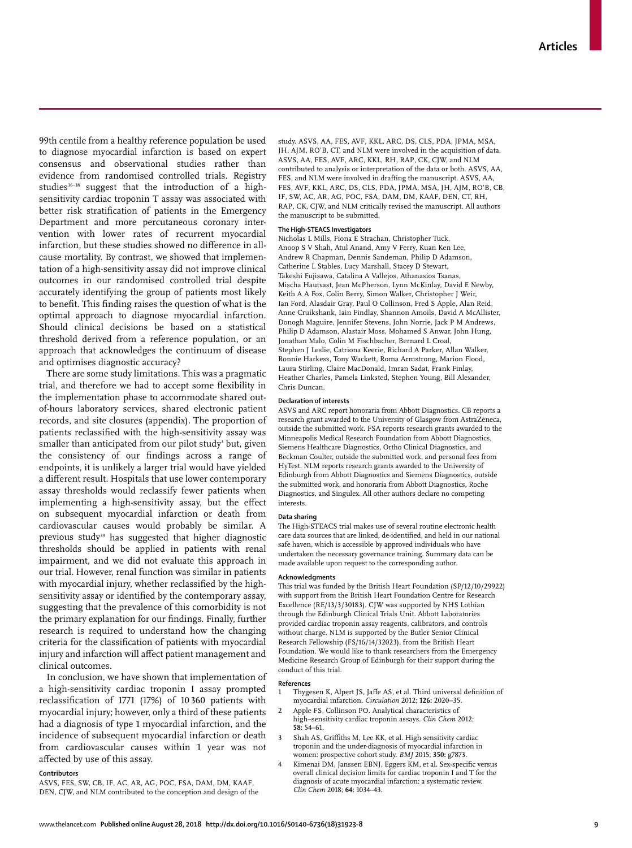99th centile from a healthy reference population be used to diagnose myocardial infarction is based on expert consensus and observational studies rather than evidence from randomised controlled trials. Registry studies<sup>36-38</sup> suggest that the introduction of a highsensitivity cardiac troponin T assay was associated with better risk stratification of patients in the Emergency Department and more percutaneous coronary intervention with lower rates of recurrent myocardial infarction, but these studies showed no difference in allcause mortality. By contrast, we showed that implementation of a high-sensitivity assay did not improve clinical outcomes in our randomised controlled trial despite accurately identifying the group of patients most likely to benefit. This finding raises the question of what is the optimal approach to diagnose myocardial infarction. Should clinical decisions be based on a statistical threshold derived from a reference population, or an approach that acknowledges the continuum of disease and optimises diagnostic accuracy?

There are some study limitations. This was a pragmatic trial, and therefore we had to accept some flexibility in the implementation phase to accommodate shared outof-hours laboratory services, shared electronic patient records, and site closures (appendix). The proportion of patients reclassified with the high-sensitivity assay was smaller than anticipated from our pilot study<sup>3</sup> but, given the consistency of our findings across a range of endpoints, it is unlikely a larger trial would have yielded a different result. Hospitals that use lower contemporary assay thresholds would reclassify fewer patients when implementing a high-sensitivity assay, but the effect on subsequent myocardial infarction or death from cardiovascular causes would probably be similar. A previous study<sup>39</sup> has suggested that higher diagnostic thresholds should be applied in patients with renal impairment, and we did not evaluate this approach in our trial. However, renal function was similar in patients with myocardial injury, whether reclassified by the highsensitivity assay or identified by the contemporary assay, suggesting that the prevalence of this comorbidity is not the primary explanation for our findings. Finally, further research is required to understand how the changing criteria for the classification of patients with myocardial injury and infarction will affect patient management and clinical outcomes.

In conclusion, we have shown that implementation of a high-sensitivity cardiac troponin I assay prompted reclassification of 1771 (17%) of 10 360 patients with myocardial injury; however, only a third of these patients had a diagnosis of type 1 myocardial infarction, and the incidence of subsequent myocardial infarction or death from cardiovascular causes within 1 year was not affected by use of this assay.

#### **Contributors**

ASVS, FES, SW, CB, IF, AC, AR, AG, POC, FSA, DAM, DM, KAAF, DEN, CJW, and NLM contributed to the conception and design of the study. ASVS, AA, FES, AVF, KKL, ARC, DS, CLS, PDA, JPMA, MSA, JH, AJM, RO'B, CT, and NLM were involved in the acquisition of data. ASVS, AA, FES, AVF, ARC, KKL, RH, RAP, CK, CJW, and NLM contributed to analysis or interpretation of the data or both. ASVS, AA, FES, and NLM were involved in drafting the manuscript. ASVS, AA, FES, AVF, KKL, ARC, DS, CLS, PDA, JPMA, MSA, JH, AJM, RO'B, CB, IF, SW, AC, AR, AG, POC, FSA, DAM, DM, KAAF, DEN, CT, RH, RAP, CK, CJW, and NLM critically revised the manuscript. All authors the manuscript to be submitted.

#### **The High-STEACS Investigators**

Nicholas L Mills, Fiona E Strachan, Christopher Tuck, Anoop S V Shah, Atul Anand, Amy V Ferry, Kuan Ken Lee, Andrew R Chapman, Dennis Sandeman, Philip D Adamson, Catherine L Stables, Lucy Marshall, Stacey D Stewart, Takeshi Fujisawa, Catalina A Vallejos, Athanasios Tsanas, Mischa Hautvast, Jean McPherson, Lynn McKinlay, David E Newby, Keith A A Fox, Colin Berry, Simon Walker, Christopher J Weir, Ian Ford, Alasdair Gray, Paul O Collinson, Fred S Apple, Alan Reid, Anne Cruikshank, Iain Findlay, Shannon Amoils, David A McAllister, Donogh Maguire, Jennifer Stevens, John Norrie, Jack P M Andrews, Philip D Adamson, Alastair Moss, Mohamed S Anwar, John Hung, Jonathan Malo, Colin M Fischbacher, Bernard L Croal, Stephen J Leslie, Catriona Keerie, Richard A Parker, Allan Walker, Ronnie Harkess, Tony Wackett, Roma Armstrong, Marion Flood, Laura Stirling, Claire MacDonald, Imran Sadat, Frank Finlay, Heather Charles, Pamela Linksted, Stephen Young, Bill Alexander, Chris Duncan.

#### **Declaration of interests**

ASVS and ARC report honoraria from Abbott Diagnostics. CB reports a research grant awarded to the University of Glasgow from AstraZeneca, outside the submitted work. FSA reports research grants awarded to the Minneapolis Medical Research Foundation from Abbott Diagnostics, Siemens Healthcare Diagnostics, Ortho Clinical Diagnostics, and Beckman Coulter, outside the submitted work, and personal fees from HyTest. NLM reports research grants awarded to the University of Edinburgh from Abbott Diagnostics and Siemens Diagnostics, outside the submitted work, and honoraria from Abbott Diagnostics, Roche Diagnostics, and Singulex. All other authors declare no competing interests.

#### **Data sharing**

The High-STEACS trial makes use of several routine electronic health care data sources that are linked, de-identified, and held in our national safe haven, which is accessible by approved individuals who have undertaken the necessary governance training. Summary data can be made available upon request to the corresponding author.

#### **Acknowledgments**

This trial was funded by the British Heart Foundation (SP/12/10/29922) with support from the British Heart Foundation Centre for Research Excellence (RE/13/3/30183). CJW was supported by NHS Lothian through the Edinburgh Clinical Trials Unit. Abbott Laboratories provided cardiac troponin assay reagents, calibrators, and controls without charge. NLM is supported by the Butler Senior Clinical Research Fellowship (FS/16/14/32023), from the British Heart Foundation. We would like to thank researchers from the Emergency Medicine Research Group of Edinburgh for their support during the conduct of this trial.

#### **References**

- 1 Thygesen K, Alpert JS, Jaffe AS, et al. Third universal definition of myocardial infarction. *Circulation* 2012; **126:** 2020–35.
- Apple FS, Collinson PO. Analytical characteristics of high–sensitivity cardiac troponin assays. *Clin Chem* 2012; **58:** 54–61.
- 3 Shah AS, Griffiths M, Lee KK, et al. High sensitivity cardiac troponin and the under-diagnosis of myocardial infarction in women: prospective cohort study. *BMJ* 2015; **350:** g7873.
- Kimenai DM, Janssen EBNJ, Eggers KM, et al. Sex-specific versus overall clinical decision limits for cardiac troponin I and T for the diagnosis of acute myocardial infarction: a systematic review. *Clin Chem* 2018; **64:** 1034–43.